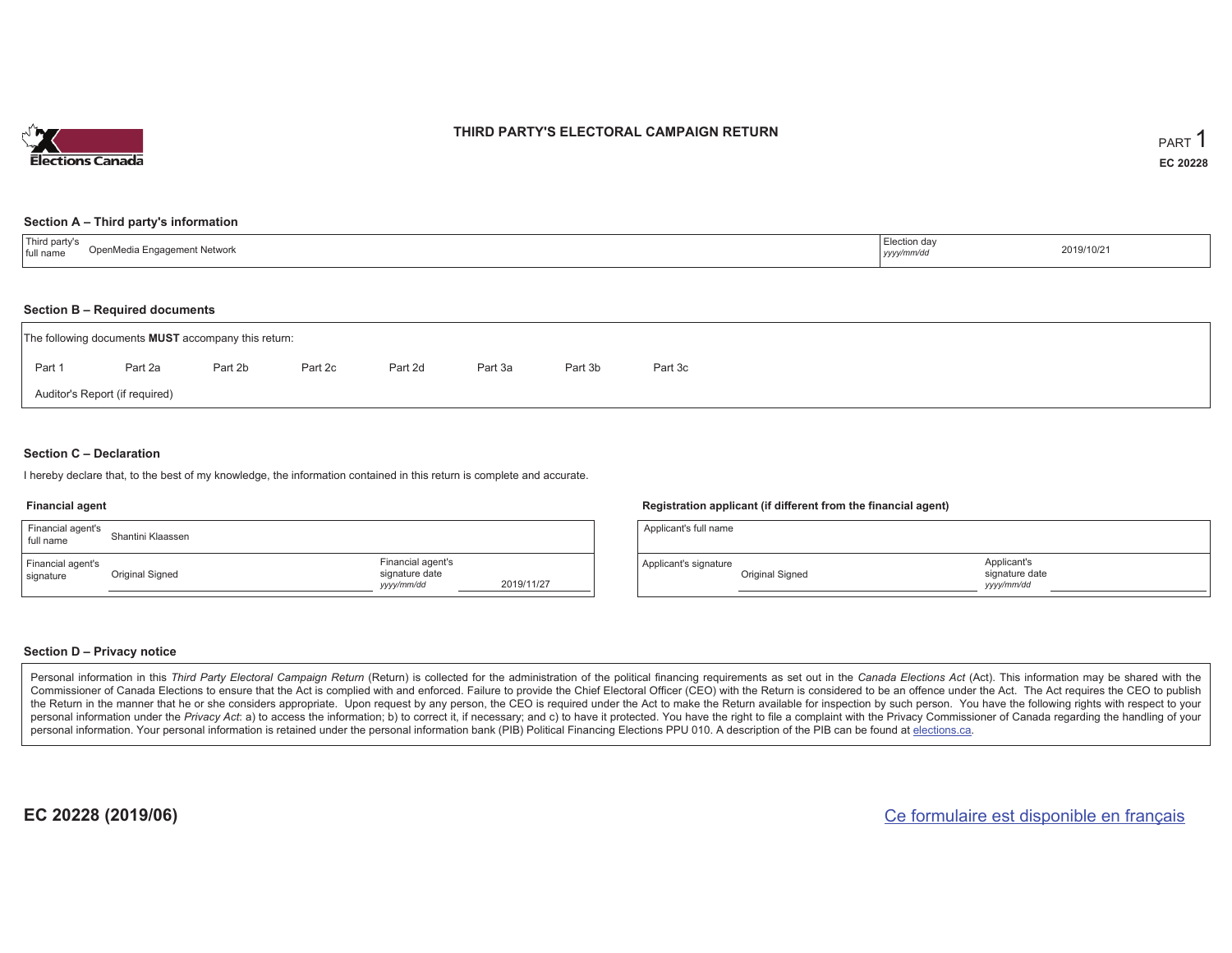

#### **THIRD PARTY'S ELECTORAL CAMPAIGN RETURN**

#### **Section A – Third party's information**

| 'Third party's<br>OpenMedia Engagement Network<br>full name | Election day<br>the contract of the contract of the contract of the<br>yyyy/mm/dd | 2019/10/21 |
|-------------------------------------------------------------|-----------------------------------------------------------------------------------|------------|
|-------------------------------------------------------------|-----------------------------------------------------------------------------------|------------|

#### **Section B – Required documents**

|                                | The following documents <b>MUST</b> accompany this return: |         |         |         |         |         |         |  |  |  |
|--------------------------------|------------------------------------------------------------|---------|---------|---------|---------|---------|---------|--|--|--|
| Part 1                         | Part 2a                                                    | Part 2b | Part 2c | Part 2d | Part 3a | Part 3b | Part 3c |  |  |  |
| Auditor's Report (if required) |                                                            |         |         |         |         |         |         |  |  |  |

#### **Section C – Declaration**

I hereby declare that, to the best of my knowledge, the information contained in this return is complete and accurate.

#### **Financial agent**

| Financial agent's<br>full name | Shantini Klaassen |                                                   |            |
|--------------------------------|-------------------|---------------------------------------------------|------------|
| Financial agent's<br>signature | Original Signed   | Financial agent's<br>signature date<br>yyyy/mm/dd | 2019/11/27 |

#### **Registration applicant (if different from the financial agent)**

| Applicant's full name |                 |                                             |  |
|-----------------------|-----------------|---------------------------------------------|--|
| Applicant's signature | Original Signed | Applicant's<br>signature date<br>yyyy/mm/dd |  |

#### **Section D – Privacy notice**

Personal information in this Third Party Electoral Campaign Return (Return) is collected for the administration of the political financing requirements as set out in the Canada Elections Act (Act). This information may be Commissioner of Canada Elections to ensure that the Act is complied with and enforced. Failure to provide the Chief Electoral Officer (CEO) with the Return is considered to be an offence under the Act. The Act requires the the Return in the manner that he or she considers appropriate. Upon request by any person, the CEO is required under the Act to make the Return available for inspection by such person. You have the following rights with re personal information under the Privacy Act: a) to access the information; b) to correct it, if necessary; and c) to have it protected. You have the right to file a complaint with the Privacy Commissioner of Canada regardin personal information. Your personal information is retained under the personal information bank (PIB) Political Financing Elections PPU 010. A description of the PIB can be found at elections.ca.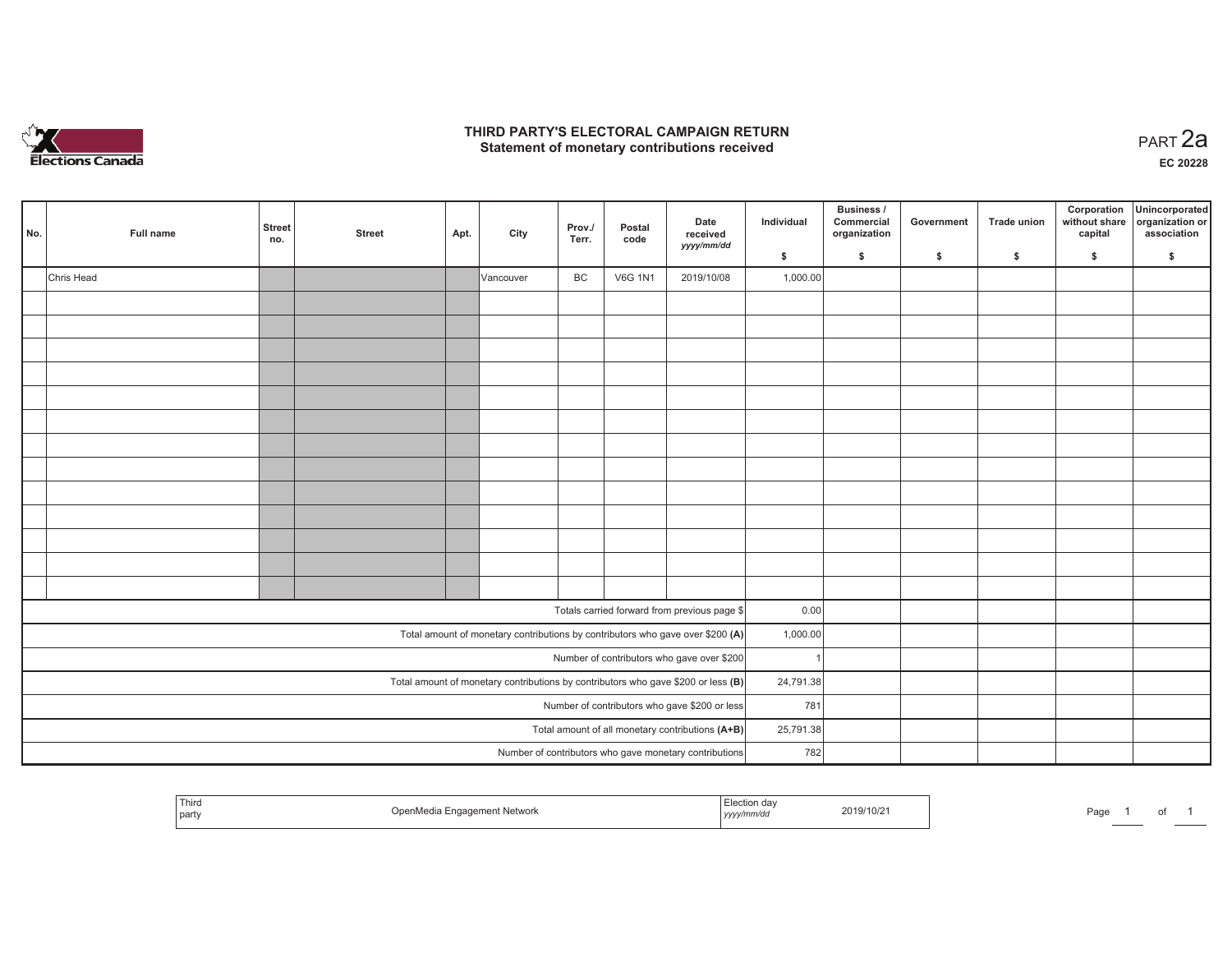

#### **THIRD PARTY'S ELECTORAL CAMPAIGN RETURN HIRD PARTY'S ELECTORAL CAMPAIGN RETURN<br>Statement of monetary contributions received PART 2a**

**EC 20228**

| No. | Full name  | <b>Street</b><br>no. | <b>Street</b> | Apt. | City      | Prov./<br>Terr. | Postal<br>code | Date<br>received<br>yyyy/mm/dd                                                      | Individual | Business /<br>Commercial<br>organization | Government | Trade union | Corporation<br>without share<br>capital | Unincorporated<br>organization or<br>association |
|-----|------------|----------------------|---------------|------|-----------|-----------------|----------------|-------------------------------------------------------------------------------------|------------|------------------------------------------|------------|-------------|-----------------------------------------|--------------------------------------------------|
|     |            |                      |               |      |           |                 |                |                                                                                     | \$         | \$                                       | \$         | \$          | \$                                      | \$                                               |
|     | Chris Head |                      |               |      | Vancouver | BC              | <b>V6G 1N1</b> | 2019/10/08                                                                          | 1,000.00   |                                          |            |             |                                         |                                                  |
|     |            |                      |               |      |           |                 |                |                                                                                     |            |                                          |            |             |                                         |                                                  |
|     |            |                      |               |      |           |                 |                |                                                                                     |            |                                          |            |             |                                         |                                                  |
|     |            |                      |               |      |           |                 |                |                                                                                     |            |                                          |            |             |                                         |                                                  |
|     |            |                      |               |      |           |                 |                |                                                                                     |            |                                          |            |             |                                         |                                                  |
|     |            |                      |               |      |           |                 |                |                                                                                     |            |                                          |            |             |                                         |                                                  |
|     |            |                      |               |      |           |                 |                |                                                                                     |            |                                          |            |             |                                         |                                                  |
|     |            |                      |               |      |           |                 |                |                                                                                     |            |                                          |            |             |                                         |                                                  |
|     |            |                      |               |      |           |                 |                |                                                                                     |            |                                          |            |             |                                         |                                                  |
|     |            |                      |               |      |           |                 |                |                                                                                     |            |                                          |            |             |                                         |                                                  |
|     |            |                      |               |      |           |                 |                |                                                                                     |            |                                          |            |             |                                         |                                                  |
|     |            |                      |               |      |           |                 |                |                                                                                     |            |                                          |            |             |                                         |                                                  |
|     |            |                      |               |      |           |                 |                |                                                                                     |            |                                          |            |             |                                         |                                                  |
|     |            |                      |               |      |           |                 |                |                                                                                     |            |                                          |            |             |                                         |                                                  |
|     |            |                      |               |      |           |                 |                | Totals carried forward from previous page \$                                        | 0.00       |                                          |            |             |                                         |                                                  |
|     |            |                      |               |      |           |                 |                | Total amount of monetary contributions by contributors who gave over \$200 (A)      | 1,000.00   |                                          |            |             |                                         |                                                  |
|     |            |                      |               |      |           |                 |                | Number of contributors who gave over \$200                                          |            |                                          |            |             |                                         |                                                  |
|     |            |                      |               |      |           |                 |                | Total amount of monetary contributions by contributors who gave \$200 or less $(B)$ | 24,791.38  |                                          |            |             |                                         |                                                  |
|     |            |                      |               |      |           |                 |                | Number of contributors who gave \$200 or less                                       | 781        |                                          |            |             |                                         |                                                  |
|     |            |                      |               |      |           |                 |                | Total amount of all monetary contributions (A+B)                                    | 25,791.38  |                                          |            |             |                                         |                                                  |
|     |            |                      |               |      |           |                 |                | Number of contributors who gave monetary contributions                              | 782        |                                          |            |             |                                         |                                                  |
|     |            |                      |               |      |           |                 |                |                                                                                     |            |                                          |            |             |                                         |                                                  |

| <sup>1</sup> Thiro<br>party | : inetwork<br>. | Election da<br>2019/10/21<br>vvv/mm/a<br>,,,,, | Page |
|-----------------------------|-----------------|------------------------------------------------|------|
|-----------------------------|-----------------|------------------------------------------------|------|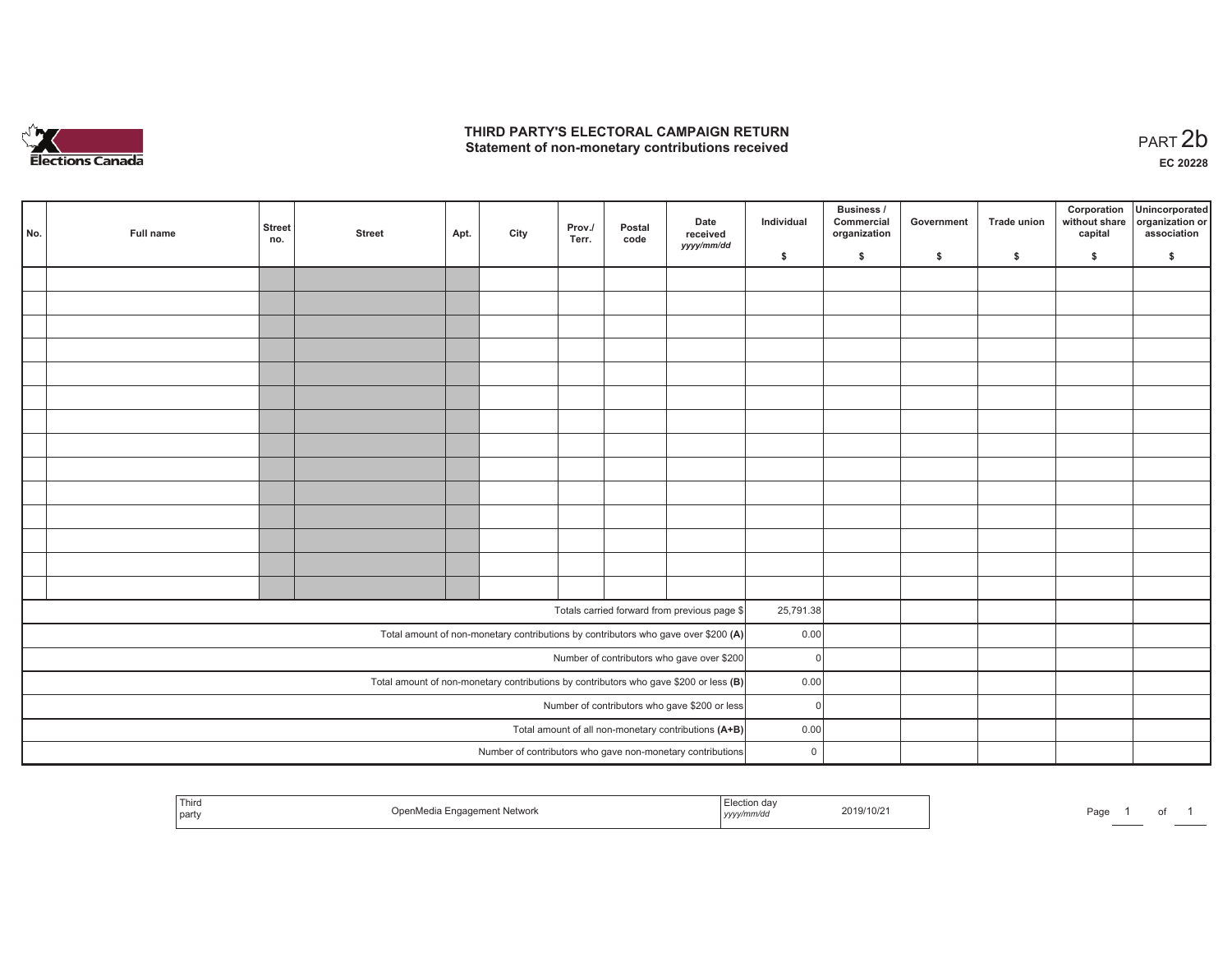

## **THIRD PARTY'S ELECTORAL CAMPAIGN RETURN**  THIRD PARTY'S ELECTORAL CAMPAIGN RETURN<br>Statement of non-monetary contributions received<br> **PART 2b**

| No. | Full name | <b>Street</b><br>no. | <b>Street</b> | Apt. | City | Prov./<br>Terr. | Postal<br>code | Date<br>received<br>yyyy/mm/dd                                                        | Individual  | <b>Business /</b><br>Commercial<br>organization | Government | Trade union | Corporation<br>without share<br>capital | Unincorporated<br>organization or<br>association |
|-----|-----------|----------------------|---------------|------|------|-----------------|----------------|---------------------------------------------------------------------------------------|-------------|-------------------------------------------------|------------|-------------|-----------------------------------------|--------------------------------------------------|
|     |           |                      |               |      |      |                 |                |                                                                                       | \$          | \$                                              | \$         | \$          | \$                                      | \$                                               |
|     |           |                      |               |      |      |                 |                |                                                                                       |             |                                                 |            |             |                                         |                                                  |
|     |           |                      |               |      |      |                 |                |                                                                                       |             |                                                 |            |             |                                         |                                                  |
|     |           |                      |               |      |      |                 |                |                                                                                       |             |                                                 |            |             |                                         |                                                  |
|     |           |                      |               |      |      |                 |                |                                                                                       |             |                                                 |            |             |                                         |                                                  |
|     |           |                      |               |      |      |                 |                |                                                                                       |             |                                                 |            |             |                                         |                                                  |
|     |           |                      |               |      |      |                 |                |                                                                                       |             |                                                 |            |             |                                         |                                                  |
|     |           |                      |               |      |      |                 |                |                                                                                       |             |                                                 |            |             |                                         |                                                  |
|     |           |                      |               |      |      |                 |                |                                                                                       |             |                                                 |            |             |                                         |                                                  |
|     |           |                      |               |      |      |                 |                |                                                                                       |             |                                                 |            |             |                                         |                                                  |
|     |           |                      |               |      |      |                 |                |                                                                                       |             |                                                 |            |             |                                         |                                                  |
|     |           |                      |               |      |      |                 |                |                                                                                       |             |                                                 |            |             |                                         |                                                  |
|     |           |                      |               |      |      |                 |                |                                                                                       |             |                                                 |            |             |                                         |                                                  |
|     |           |                      |               |      |      |                 |                |                                                                                       |             |                                                 |            |             |                                         |                                                  |
|     |           |                      |               |      |      |                 |                |                                                                                       |             |                                                 |            |             |                                         |                                                  |
|     |           |                      |               |      |      |                 |                | Totals carried forward from previous page \$                                          | 25,791.38   |                                                 |            |             |                                         |                                                  |
|     |           |                      |               |      |      |                 |                |                                                                                       |             |                                                 |            |             |                                         |                                                  |
|     |           |                      |               |      |      |                 |                | Total amount of non-monetary contributions by contributors who gave over \$200 (A)    | 0.00        |                                                 |            |             |                                         |                                                  |
|     |           |                      |               |      |      |                 |                | Number of contributors who gave over \$200                                            | $\Omega$    |                                                 |            |             |                                         |                                                  |
|     |           |                      |               |      |      |                 |                | Total amount of non-monetary contributions by contributors who gave \$200 or less (B) | 0.00        |                                                 |            |             |                                         |                                                  |
|     |           |                      |               |      |      |                 |                | Number of contributors who gave \$200 or less                                         | $\Omega$    |                                                 |            |             |                                         |                                                  |
|     |           |                      |               |      |      |                 |                | Total amount of all non-monetary contributions (A+B)                                  | 0.00        |                                                 |            |             |                                         |                                                  |
|     |           |                      |               |      |      |                 |                | Number of contributors who gave non-monetary contributions                            | $\mathsf 0$ |                                                 |            |             |                                         |                                                  |

|  | Third<br>* Network<br>part | on dav<br>2019/10/2<br>,,,,, | Page |
|--|----------------------------|------------------------------|------|
|--|----------------------------|------------------------------|------|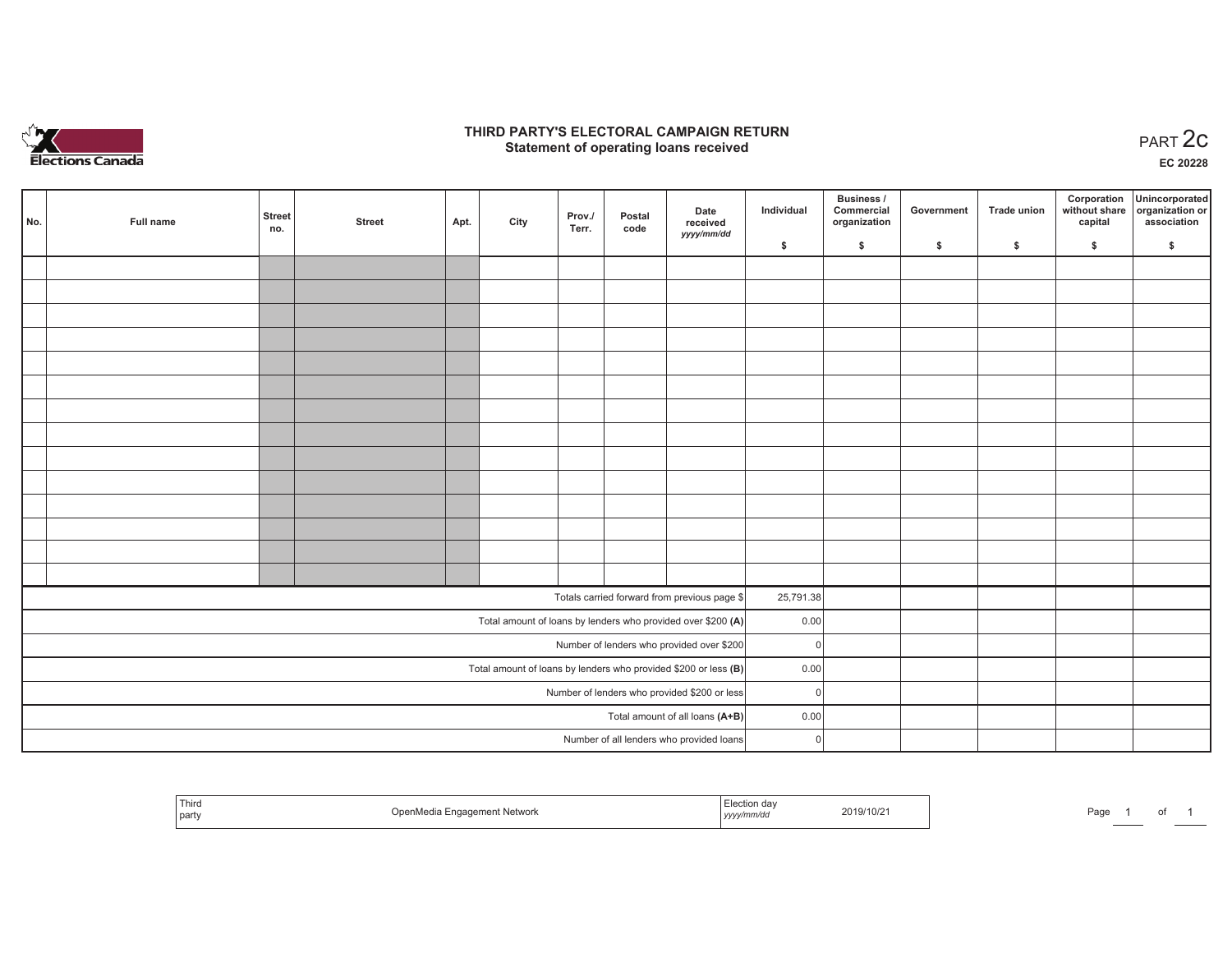

## **THIRD PARTY'S ELECTORAL CAMPAIGN RETURN STATE:** PERSON SELECTORAL CAMPAIGN RETURN<br>
Statement of operating loans received

**EC 20228**

|  | No. | Full name | <b>Street</b><br>no. | <b>Street</b> | Apt. | City | Prov./<br>Terr. | Postal<br>code | Date<br>received                                                  | Individual | <b>Business /</b><br>Commercial<br>organization | Government | <b>Trade union</b> | Corporation<br>capital | Unincorporated<br>without share organization or<br>association |
|--|-----|-----------|----------------------|---------------|------|------|-----------------|----------------|-------------------------------------------------------------------|------------|-------------------------------------------------|------------|--------------------|------------------------|----------------------------------------------------------------|
|  |     |           |                      |               |      |      |                 |                | yyyy/mm/dd                                                        | \$         | \$                                              | \$         | \$                 | \$                     | \$                                                             |
|  |     |           |                      |               |      |      |                 |                |                                                                   |            |                                                 |            |                    |                        |                                                                |
|  |     |           |                      |               |      |      |                 |                |                                                                   |            |                                                 |            |                    |                        |                                                                |
|  |     |           |                      |               |      |      |                 |                |                                                                   |            |                                                 |            |                    |                        |                                                                |
|  |     |           |                      |               |      |      |                 |                |                                                                   |            |                                                 |            |                    |                        |                                                                |
|  |     |           |                      |               |      |      |                 |                |                                                                   |            |                                                 |            |                    |                        |                                                                |
|  |     |           |                      |               |      |      |                 |                |                                                                   |            |                                                 |            |                    |                        |                                                                |
|  |     |           |                      |               |      |      |                 |                |                                                                   |            |                                                 |            |                    |                        |                                                                |
|  |     |           |                      |               |      |      |                 |                |                                                                   |            |                                                 |            |                    |                        |                                                                |
|  |     |           |                      |               |      |      |                 |                |                                                                   |            |                                                 |            |                    |                        |                                                                |
|  |     |           |                      |               |      |      |                 |                |                                                                   |            |                                                 |            |                    |                        |                                                                |
|  |     |           |                      |               |      |      |                 |                |                                                                   |            |                                                 |            |                    |                        |                                                                |
|  |     |           |                      |               |      |      |                 |                |                                                                   |            |                                                 |            |                    |                        |                                                                |
|  |     |           |                      |               |      |      |                 |                |                                                                   |            |                                                 |            |                    |                        |                                                                |
|  |     |           |                      |               |      |      |                 |                |                                                                   |            |                                                 |            |                    |                        |                                                                |
|  |     |           |                      |               |      |      |                 |                | Totals carried forward from previous page \$                      | 25,791.38  |                                                 |            |                    |                        |                                                                |
|  |     |           |                      |               |      |      |                 |                | Total amount of loans by lenders who provided over \$200 (A)      | 0.00       |                                                 |            |                    |                        |                                                                |
|  |     |           |                      |               |      |      |                 |                | Number of lenders who provided over \$200                         | $\Omega$   |                                                 |            |                    |                        |                                                                |
|  |     |           |                      |               |      |      |                 |                | Total amount of loans by lenders who provided \$200 or less $(B)$ | 0.00       |                                                 |            |                    |                        |                                                                |
|  |     |           |                      |               |      |      |                 |                | Number of lenders who provided \$200 or less                      | $\Omega$   |                                                 |            |                    |                        |                                                                |
|  |     |           |                      |               |      |      |                 |                | Total amount of all loans (A+B)                                   | 0.00       |                                                 |            |                    |                        |                                                                |
|  |     |           |                      |               |      |      |                 |                | Number of all lenders who provided loans                          | $\Omega$   |                                                 |            |                    |                        |                                                                |

| <sup>l</sup> Third<br>' party | <b>Network</b> | uon dav<br>2019/10/2<br>,,,,, | Page |
|-------------------------------|----------------|-------------------------------|------|
|-------------------------------|----------------|-------------------------------|------|

Page 1 of 1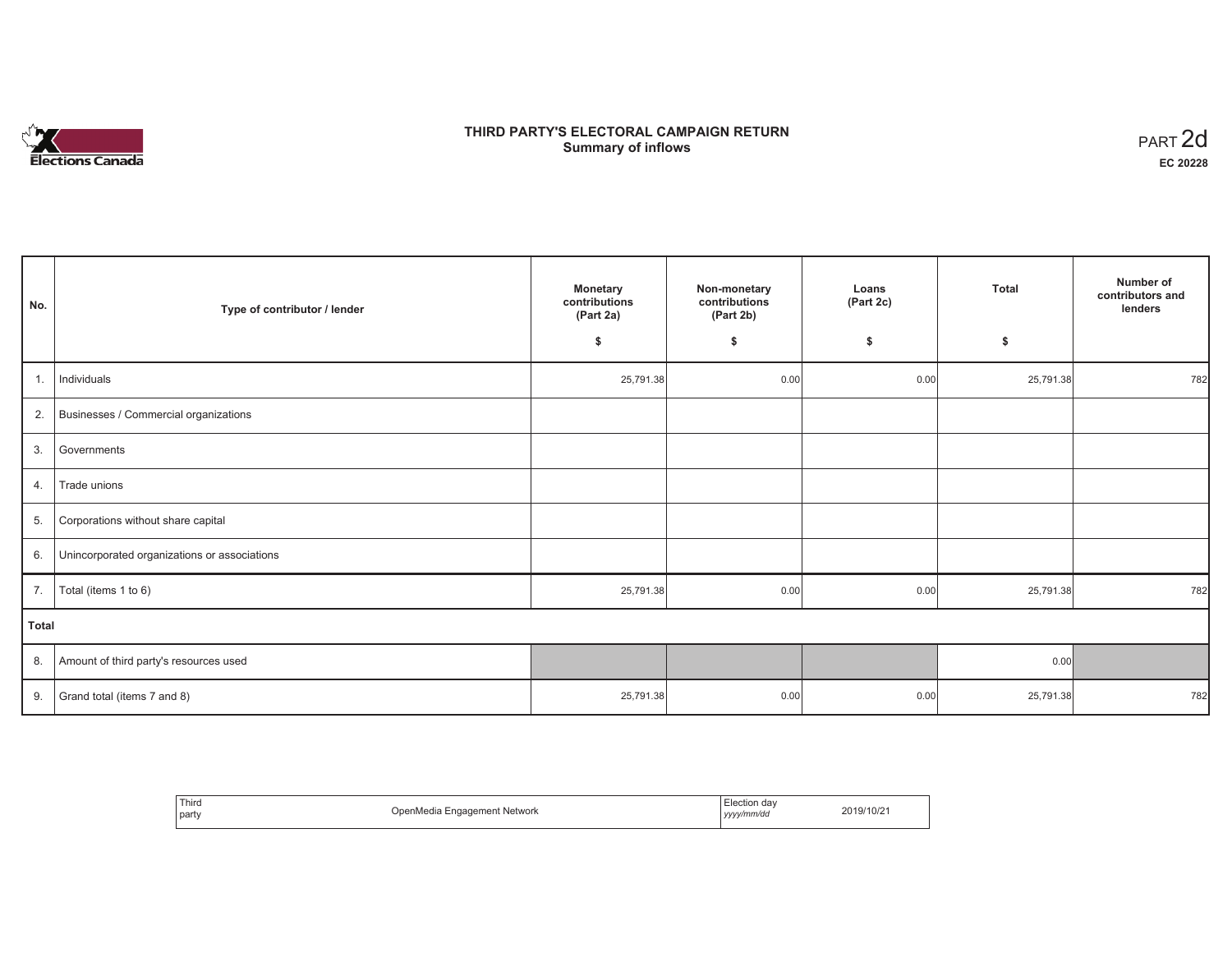# **Elections Canada**

# **THIRD PARTY'S ELECTORAL CAMPAIGN RETURN Summary of inflows**

| PART <sub>2d</sub> |
|--------------------|
| EC 20228           |

٦

| No.            | Type of contributor / lender                 | <b>Monetary</b><br>contributions<br>(Part 2a) | Non-monetary<br>contributions<br>(Part 2b) | Loans<br>(Part 2c) | <b>Total</b> | Number of<br>contributors and<br>lenders |
|----------------|----------------------------------------------|-----------------------------------------------|--------------------------------------------|--------------------|--------------|------------------------------------------|
|                |                                              | \$                                            | \$                                         | \$                 | \$           |                                          |
| $\mathbf{1}$ . | Individuals                                  | 25,791.38                                     | 0.00                                       | 0.00               | 25,791.38    | 782                                      |
| 2.             | Businesses / Commercial organizations        |                                               |                                            |                    |              |                                          |
| 3.             | Governments                                  |                                               |                                            |                    |              |                                          |
| 4.             | Trade unions                                 |                                               |                                            |                    |              |                                          |
| 5.             | Corporations without share capital           |                                               |                                            |                    |              |                                          |
| 6.             | Unincorporated organizations or associations |                                               |                                            |                    |              |                                          |
| 7.             | Total (items 1 to 6)                         | 25,791.38                                     | 0.00                                       | 0.00               | 25,791.38    | 782                                      |
| <b>Total</b>   |                                              |                                               |                                            |                    |              |                                          |
| 8.             | Amount of third party's resources used       |                                               |                                            |                    | 0.00         |                                          |
| 9.             | Grand total (items 7 and 8)                  | 25,791.38                                     | 0.00                                       | 0.00               | 25,791.38    | 782                                      |

| Third<br>party<br>. | Engagement Network<br>Inon<br>0.000<br>iivituid | ection dav<br>  yyyy/mm/dd | 2019/10/21 |
|---------------------|-------------------------------------------------|----------------------------|------------|
|---------------------|-------------------------------------------------|----------------------------|------------|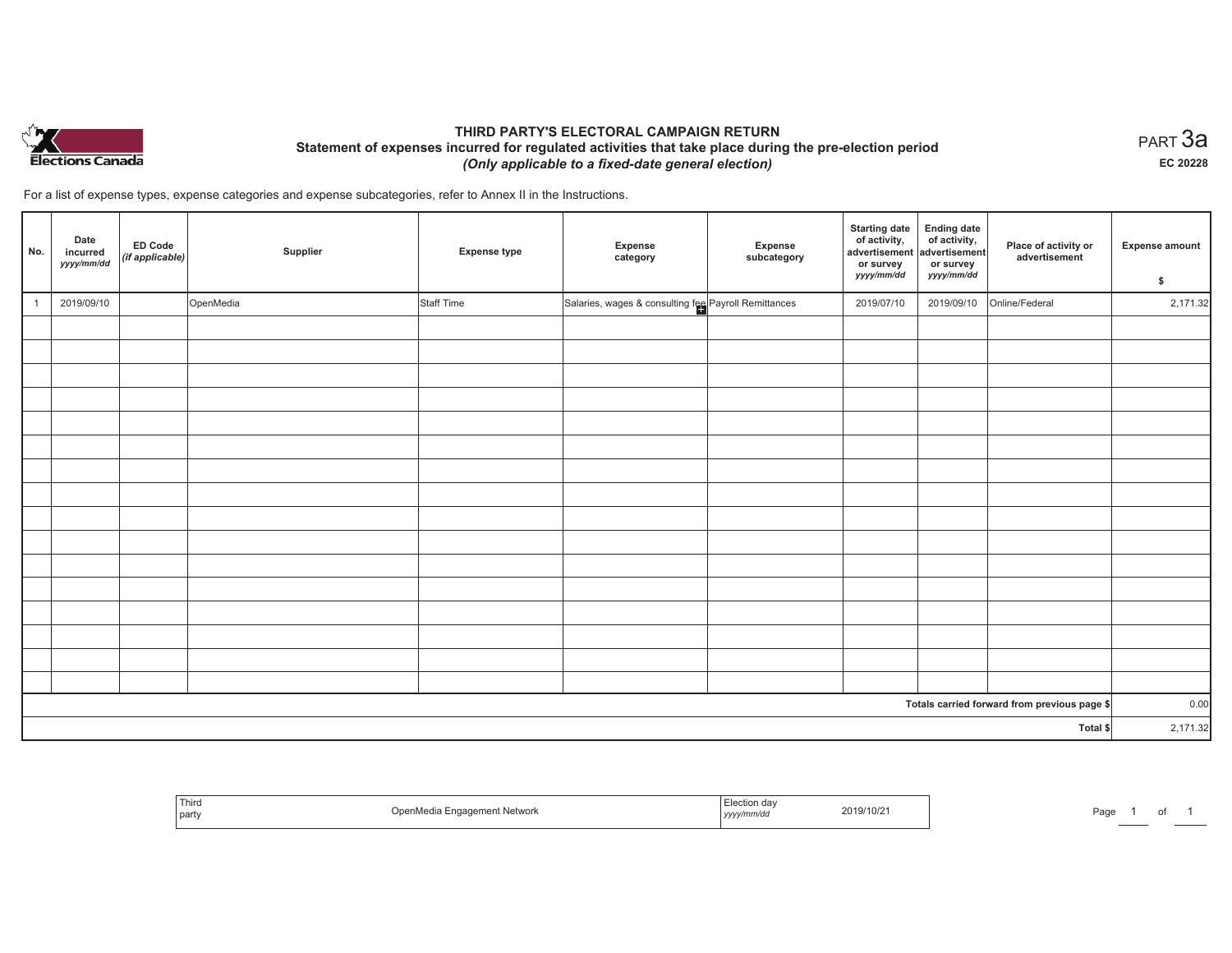

# **THIRD PARTY'S ELECTORAL CAMPAIGN RETURN Statement of expenses incurred for regulated activities that take place during the pre-election period**  *(Only applicable to a fixed-date general election)*

 $_{\sf PART}$ 3a **EC 20228**

For a list of expense types, expense categories and expense subcategories, refer to Annex II in the Instructions.

| No.      | Date<br>incurred<br>yyyy/mm/dd | ED Code<br>(if applicable) | Supplier  | <b>Expense type</b> | Expense<br>category                                  | Expense<br>subcategory | <b>Starting date</b><br>of activity,<br>advertisement<br>or survey<br>yyyy/mm/dd | Ending date<br>of activity,<br>advertisement<br>or survey<br>yyyy/mm/dd | Place of activity or<br>advertisement        | Expense amount<br>\$ |
|----------|--------------------------------|----------------------------|-----------|---------------------|------------------------------------------------------|------------------------|----------------------------------------------------------------------------------|-------------------------------------------------------------------------|----------------------------------------------|----------------------|
|          | 2019/09/10                     |                            | OpenMedia | Staff Time          | Salaries, wages & consulting fee Payroll Remittances |                        | 2019/07/10                                                                       | 2019/09/10                                                              | Online/Federal                               | 2,171.32             |
|          |                                |                            |           |                     |                                                      |                        |                                                                                  |                                                                         |                                              |                      |
|          |                                |                            |           |                     |                                                      |                        |                                                                                  |                                                                         |                                              |                      |
|          |                                |                            |           |                     |                                                      |                        |                                                                                  |                                                                         |                                              |                      |
|          |                                |                            |           |                     |                                                      |                        |                                                                                  |                                                                         |                                              |                      |
|          |                                |                            |           |                     |                                                      |                        |                                                                                  |                                                                         |                                              |                      |
|          |                                |                            |           |                     |                                                      |                        |                                                                                  |                                                                         |                                              |                      |
|          |                                |                            |           |                     |                                                      |                        |                                                                                  |                                                                         |                                              |                      |
|          |                                |                            |           |                     |                                                      |                        |                                                                                  |                                                                         |                                              |                      |
|          |                                |                            |           |                     |                                                      |                        |                                                                                  |                                                                         |                                              |                      |
|          |                                |                            |           |                     |                                                      |                        |                                                                                  |                                                                         |                                              |                      |
|          |                                |                            |           |                     |                                                      |                        |                                                                                  |                                                                         |                                              |                      |
|          |                                |                            |           |                     |                                                      |                        |                                                                                  |                                                                         |                                              |                      |
|          |                                |                            |           |                     |                                                      |                        |                                                                                  |                                                                         |                                              |                      |
|          |                                |                            |           |                     |                                                      |                        |                                                                                  |                                                                         |                                              |                      |
|          |                                |                            |           |                     |                                                      |                        |                                                                                  |                                                                         |                                              |                      |
|          |                                |                            |           |                     |                                                      |                        |                                                                                  |                                                                         | Totals carried forward from previous page \$ | 0.00                 |
| Total \$ |                                |                            |           |                     |                                                      | 2,171.32               |                                                                                  |                                                                         |                                              |                      |

| $ -$<br>Third<br>part | * Network<br>чиа гимие<br>. | $ \blacksquare$<br>2019/10/2 <sup>.</sup><br>yyyy <i>mmv</i> uv | $D \cap \alpha$<br>ay. |
|-----------------------|-----------------------------|-----------------------------------------------------------------|------------------------|
|-----------------------|-----------------------------|-----------------------------------------------------------------|------------------------|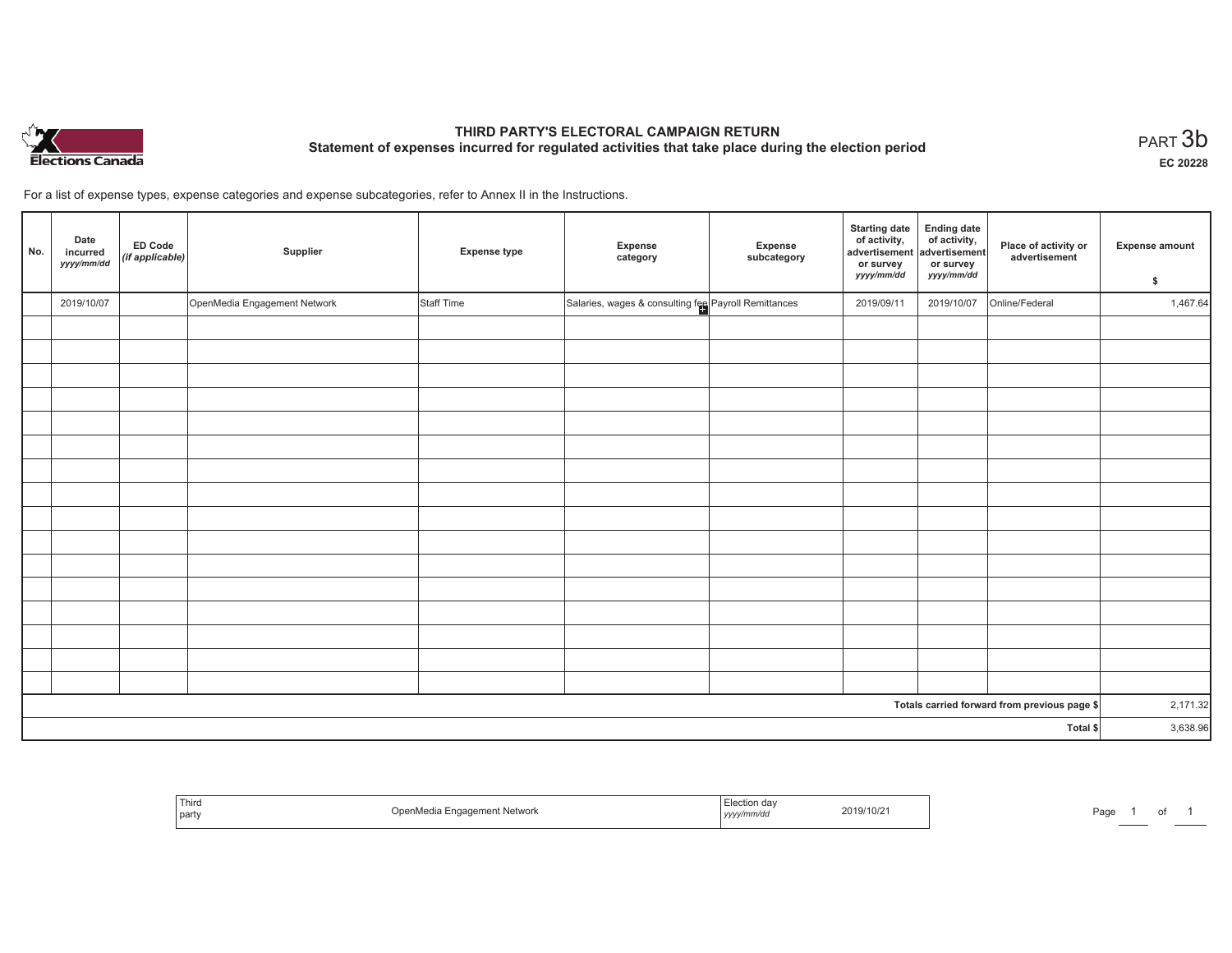

# **THIRD PARTY'S ELECTORAL CAMPAIGN RETURN Statement of expenses incurred for regulated activities that take place during the election period**<br>PART  $3\mathsf{b}$

**EC 20228**

For a list of expense types, expense categories and expense subcategories, refer to Annex II in the Instructions.

| No.      | Date<br>incurred<br>yyyy/mm/dd | <b>ED Code</b><br>(if applicable) | Supplier                     | <b>Expense type</b> | Expense<br>category                                  | Expense<br>subcategory | <b>Starting date</b><br>of activity,<br>advertisement<br>or survey<br>yyyy/mm/dd | Ending date<br>of activity,<br>advertisement<br>or survey<br>yyyy/mm/dd | Place of activity or<br>advertisement        | <b>Expense amount</b><br>\$ |
|----------|--------------------------------|-----------------------------------|------------------------------|---------------------|------------------------------------------------------|------------------------|----------------------------------------------------------------------------------|-------------------------------------------------------------------------|----------------------------------------------|-----------------------------|
|          | 2019/10/07                     |                                   | OpenMedia Engagement Network | Staff Time          | Salaries, wages & consulting fee Payroll Remittances |                        | 2019/09/11                                                                       | 2019/10/07                                                              | Online/Federal                               | 1,467.64                    |
|          |                                |                                   |                              |                     |                                                      |                        |                                                                                  |                                                                         |                                              |                             |
|          |                                |                                   |                              |                     |                                                      |                        |                                                                                  |                                                                         |                                              |                             |
|          |                                |                                   |                              |                     |                                                      |                        |                                                                                  |                                                                         |                                              |                             |
|          |                                |                                   |                              |                     |                                                      |                        |                                                                                  |                                                                         |                                              |                             |
|          |                                |                                   |                              |                     |                                                      |                        |                                                                                  |                                                                         |                                              |                             |
|          |                                |                                   |                              |                     |                                                      |                        |                                                                                  |                                                                         |                                              |                             |
|          |                                |                                   |                              |                     |                                                      |                        |                                                                                  |                                                                         |                                              |                             |
|          |                                |                                   |                              |                     |                                                      |                        |                                                                                  |                                                                         |                                              |                             |
|          |                                |                                   |                              |                     |                                                      |                        |                                                                                  |                                                                         |                                              |                             |
|          |                                |                                   |                              |                     |                                                      |                        |                                                                                  |                                                                         |                                              |                             |
|          |                                |                                   |                              |                     |                                                      |                        |                                                                                  |                                                                         |                                              |                             |
|          |                                |                                   |                              |                     |                                                      |                        |                                                                                  |                                                                         |                                              |                             |
|          |                                |                                   |                              |                     |                                                      |                        |                                                                                  |                                                                         |                                              |                             |
|          |                                |                                   |                              |                     |                                                      |                        |                                                                                  |                                                                         |                                              |                             |
|          |                                |                                   |                              |                     |                                                      |                        |                                                                                  |                                                                         |                                              |                             |
|          |                                |                                   |                              |                     |                                                      |                        |                                                                                  |                                                                         |                                              |                             |
|          |                                |                                   |                              |                     |                                                      |                        |                                                                                  |                                                                         | Totals carried forward from previous page \$ | 2,171.32                    |
| Total \$ |                                |                                   |                              |                     |                                                      | 3,638.96               |                                                                                  |                                                                         |                                              |                             |

| Third<br>  party | <sup>t</sup> Network<br>)ne | ı dav<br>.n/ur<br>,,,,, | 2019/10/2 | Page |  |  |  |
|------------------|-----------------------------|-------------------------|-----------|------|--|--|--|
|------------------|-----------------------------|-------------------------|-----------|------|--|--|--|